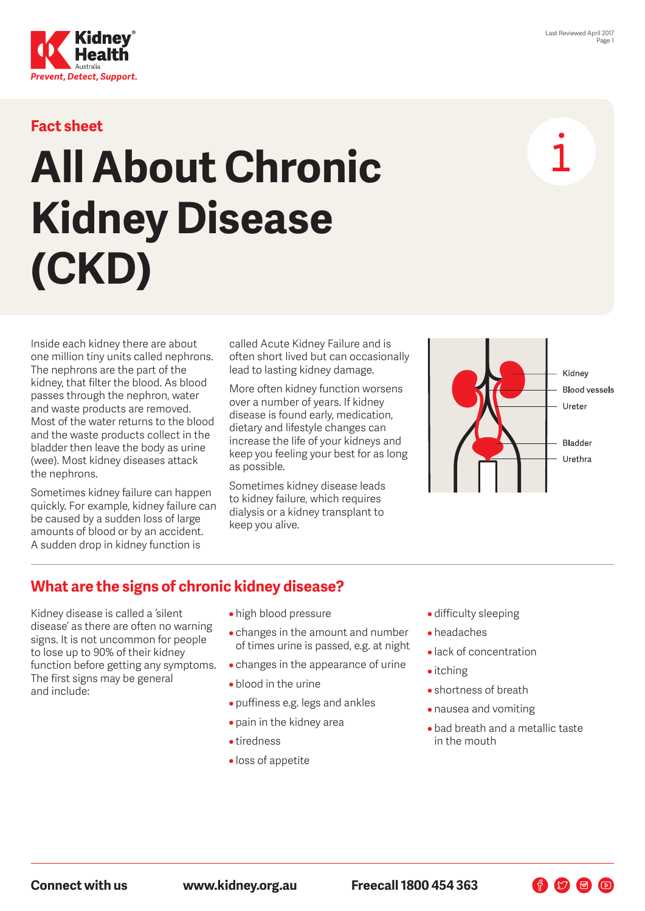

## **Fact sheet**

# **All About Chronic Kidney Disease (CKD)**

Inside each kidney there are about one million tiny units called nephrons. The nephrons are the part of the kidney, that filter the blood. As blood passes through the nephron, water and waste products are removed. Most of the water returns to the blood and the waste products collect in the bladder then leave the body as urine (wee). Most kidney diseases attack the nephrons.

Sometimes kidney failure can happen quickly. For example, kidney failure can be caused by a sudden loss of large amounts of blood or by an accident. A sudden drop in kidney function is

called Acute Kidney Failure and is often short lived but can occasionally lead to lasting kidney damage.

More often kidney function worsens over a number of years. If kidney disease is found early, medication, dietary and lifestyle changes can increase the life of your kidneys and keep you feeling your best for as long as possible.

Sometimes kidney disease leads to kidney failure, which requires dialysis or a kidney transplant to keep you alive.



# **What are the signs of chronic kidney disease?**

Kidney disease is called a 'silent disease' as there are often no warning signs. It is not uncommon for people to lose up to 90% of their kidney function before getting any symptoms. The first signs may be general and include:

- high blood pressure
- changes in the amount and number of times urine is passed, e.g. at night
- changes in the appearance of urine
- blood in the urine
- puffiness e.g. legs and ankles
- pain in the kidney area
- tiredness
- loss of appetite
- difficulty sleeping
- headaches
- lack of concentration
- itching
- shortness of breath
- nausea and vomiting
- bad breath and a metallic taste in the mouth

 $\begin{picture}(60,6) \put(0,0){\line(1,0){10}} \put(15,0){\line(1,0){10}} \put(15,0){\line(1,0){10}} \put(15,0){\line(1,0){10}} \put(15,0){\line(1,0){10}} \put(15,0){\line(1,0){10}} \put(15,0){\line(1,0){10}} \put(15,0){\line(1,0){10}} \put(15,0){\line(1,0){10}} \put(15,0){\line(1,0){10}} \put(15,0){\line(1,0){10}} \put(15,0){\line(1,$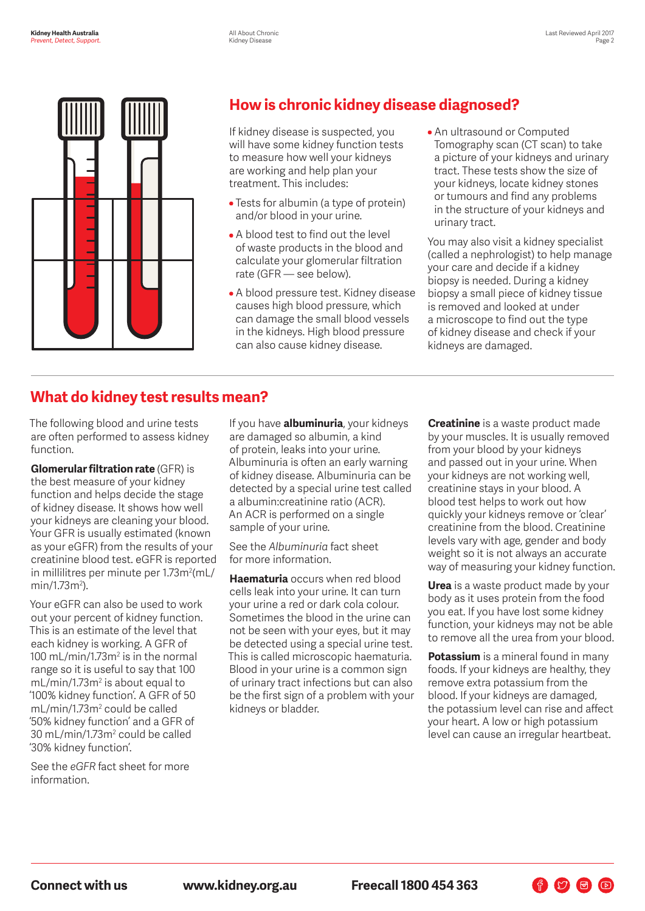

# **How is chronic kidney disease diagnosed?**

If kidney disease is suspected, you will have some kidney function tests to measure how well your kidneys are working and help plan your treatment. This includes:

- Tests for albumin (a type of protein) and/or blood in your urine.
- A blood test to find out the level of waste products in the blood and calculate your glomerular filtration rate (GFR — see below).
- A blood pressure test. Kidney disease causes high blood pressure, which can damage the small blood vessels in the kidneys. High blood pressure can also cause kidney disease.
- An ultrasound or Computed Tomography scan (CT scan) to take a picture of your kidneys and urinary tract. These tests show the size of your kidneys, locate kidney stones or tumours and find any problems in the structure of your kidneys and urinary tract.

You may also visit a kidney specialist (called a nephrologist) to help manage your care and decide if a kidney biopsy is needed. During a kidney biopsy a small piece of kidney tissue is removed and looked at under a microscope to find out the type of kidney disease and check if your kidneys are damaged.

# **What do kidney test results mean?**

The following blood and urine tests are often performed to assess kidney function.

**Glomerular filtration rate** (GFR) is the best measure of your kidney function and helps decide the stage of kidney disease. It shows how well your kidneys are cleaning your blood. Your GFR is usually estimated (known as your eGFR) from the results of your creatinine blood test. eGFR is reported in millilitres per minute per 1.73m<sup>2</sup>(mL/ min/1.73m<sup>2</sup>).

Your eGFR can also be used to work out your percent of kidney function. This is an estimate of the level that each kidney is working. A GFR of 100 mL/min/1.73 $m<sup>2</sup>$  is in the normal range so it is useful to say that 100  $mL/min/1.73m<sup>2</sup>$  is about equal to '100% kidney function'. A GFR of 50 mL/min/1.73m<sup>2</sup> could be called '50% kidney function' and a GFR of 30 mL/min/1.73m2 could be called '30% kidney function'.

See the *eGFR* fact sheet for more information.

If you have **albuminuria**, your kidneys are damaged so albumin, a kind of protein, leaks into your urine. Albuminuria is often an early warning of kidney disease. Albuminuria can be detected by a special urine test called a albumin:creatinine ratio (ACR). An ACR is performed on a single sample of your urine.

See the *Albuminuria* fact sheet for more information.

**Haematuria** occurs when red blood cells leak into your urine. It can turn your urine a red or dark cola colour. Sometimes the blood in the urine can not be seen with your eyes, but it may be detected using a special urine test. This is called microscopic haematuria. Blood in your urine is a common sign of urinary tract infections but can also be the first sign of a problem with your kidneys or bladder.

**Creatinine** is a waste product made by your muscles. It is usually removed from your blood by your kidneys and passed out in your urine. When your kidneys are not working well, creatinine stays in your blood. A blood test helps to work out how quickly your kidneys remove or 'clear' creatinine from the blood. Creatinine levels vary with age, gender and body weight so it is not always an accurate way of measuring your kidney function.

**Urea** is a waste product made by your body as it uses protein from the food you eat. If you have lost some kidney function, your kidneys may not be able to remove all the urea from your blood.

**Potassium** is a mineral found in many foods. If your kidneys are healthy, they remove extra potassium from the blood. If your kidneys are damaged, the potassium level can rise and affect your heart. A low or high potassium level can cause an irregular heartbeat.

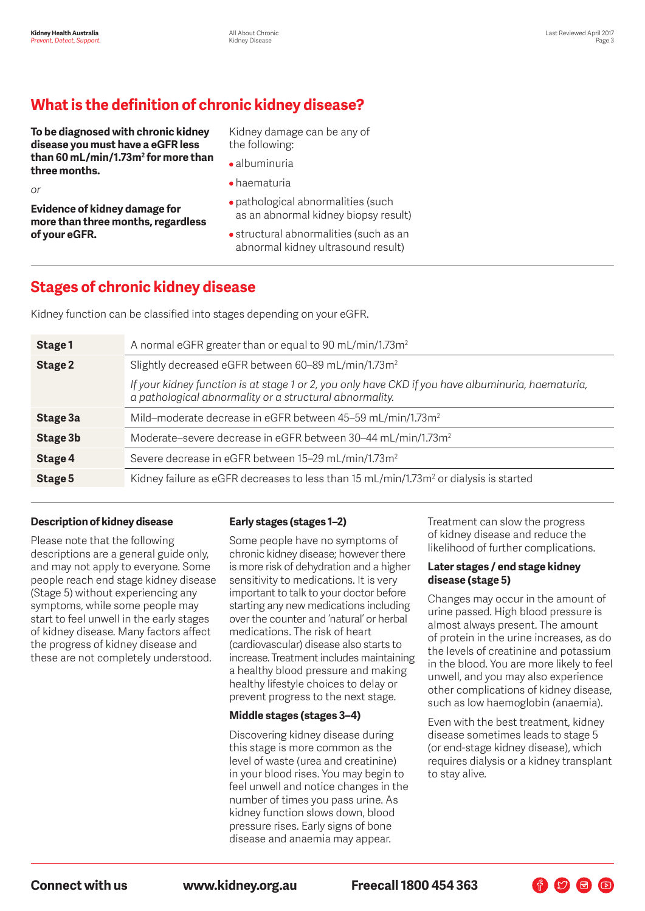# **What is the definition of chronic kidney disease?**

**To be diagnosed with chronic kidney disease you must have a eGFR less than 60 mL/min/1.73m2 for more than three months.**

Kidney damage can be any of the following:

- albuminuria
- haematuria

*or*

**Evidence of kidney damage for more than three months, regardless of your eGFR.**

- pathological abnormalities (such as an abnormal kidney biopsy result)
- structural abnormalities (such as an abnormal kidney ultrasound result)

# **Stages of chronic kidney disease**

Kidney function can be classified into stages depending on your eGFR.

| Stage 1  | A normal eGFR greater than or equal to 90 mL/min/1.73m <sup>2</sup>                                                                                           |
|----------|---------------------------------------------------------------------------------------------------------------------------------------------------------------|
| Stage 2  | Slightly decreased eGFR between 60–89 mL/min/1.73m <sup>2</sup>                                                                                               |
|          | If your kidney function is at stage 1 or 2, you only have CKD if you have albuminuria, haematuria,<br>a pathological abnormality or a structural abnormality. |
| Stage 3a | Mild-moderate decrease in eGFR between 45-59 mL/min/1.73m <sup>2</sup>                                                                                        |
| Stage 3b | Moderate-severe decrease in eGFR between 30–44 mL/min/1.73m <sup>2</sup>                                                                                      |
| Stage 4  | Severe decrease in eGFR between 15–29 mL/min/1.73m <sup>2</sup>                                                                                               |
| Stage 5  | Kidney failure as eGFR decreases to less than 15 mL/min/1.73m <sup>2</sup> or dialysis is started                                                             |

#### **Description of kidney disease**

Please note that the following descriptions are a general guide only, and may not apply to everyone. Some people reach end stage kidney disease (Stage 5) without experiencing any symptoms, while some people may start to feel unwell in the early stages of kidney disease. Many factors affect the progress of kidney disease and these are not completely understood.

#### **Early stages (stages 1–2)**

Some people have no symptoms of chronic kidney disease; however there is more risk of dehydration and a higher sensitivity to medications. It is very important to talk to your doctor before starting any new medications including over the counter and 'natural' or herbal medications. The risk of heart (cardiovascular) disease also starts to increase. Treatment includes maintaining a healthy blood pressure and making healthy lifestyle choices to delay or prevent progress to the next stage.

#### **Middle stages (stages 3–4)**

Discovering kidney disease during this stage is more common as the level of waste (urea and creatinine) in your blood rises. You may begin to feel unwell and notice changes in the number of times you pass urine. As kidney function slows down, blood pressure rises. Early signs of bone disease and anaemia may appear.

Treatment can slow the progress of kidney disease and reduce the likelihood of further complications.

#### **Later stages / end stage kidney disease (stage 5)**

Changes may occur in the amount of urine passed. High blood pressure is almost always present. The amount of protein in the urine increases, as do the levels of creatinine and potassium in the blood. You are more likely to feel unwell, and you may also experience other complications of kidney disease, such as low haemoglobin (anaemia).

Even with the best treatment, kidney disease sometimes leads to stage 5 (or end-stage kidney disease), which requires dialysis or a kidney transplant to stay alive.

**Connect with us www.kidney.org.au Freecall 1800 454 363**